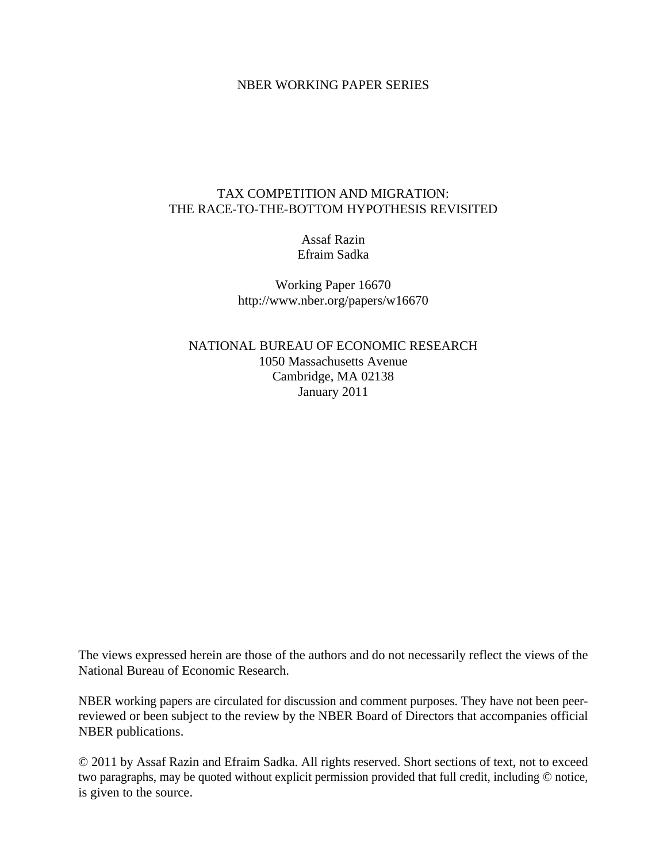#### NBER WORKING PAPER SERIES

### TAX COMPETITION AND MIGRATION: THE RACE-TO-THE-BOTTOM HYPOTHESIS REVISITED

Assaf Razin Efraim Sadka

Working Paper 16670 http://www.nber.org/papers/w16670

NATIONAL BUREAU OF ECONOMIC RESEARCH 1050 Massachusetts Avenue Cambridge, MA 02138 January 2011

The views expressed herein are those of the authors and do not necessarily reflect the views of the National Bureau of Economic Research.

NBER working papers are circulated for discussion and comment purposes. They have not been peerreviewed or been subject to the review by the NBER Board of Directors that accompanies official NBER publications.

© 2011 by Assaf Razin and Efraim Sadka. All rights reserved. Short sections of text, not to exceed two paragraphs, may be quoted without explicit permission provided that full credit, including © notice, is given to the source.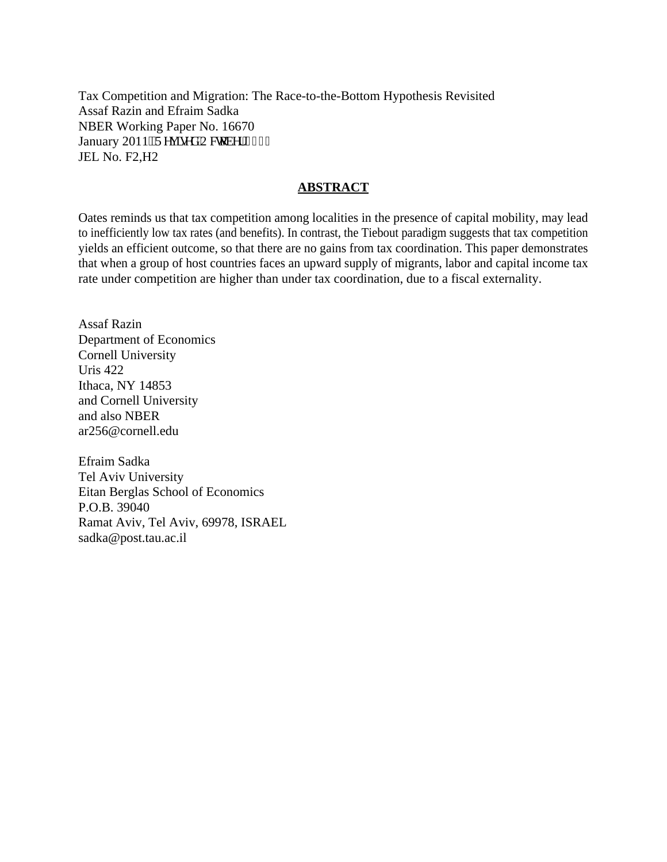Tax Competition and Migration: The Race-to-the-Bottom Hypothesis Revisited Assaf Razin and Efraim Sadka NBER Working Paper No. 16670 January 2011. 'Tgxkugf ''Qevqdgt ''4233 JEL No. F2,H2

#### **ABSTRACT**

Oates reminds us that tax competition among localities in the presence of capital mobility, may lead to inefficiently low tax rates (and benefits). In contrast, the Tiebout paradigm suggests that tax competition yields an efficient outcome, so that there are no gains from tax coordination. This paper demonstrates that when a group of host countries faces an upward supply of migrants, labor and capital income tax rate under competition are higher than under tax coordination, due to a fiscal externality.

Assaf Razin Department of Economics Cornell University Uris 422 Ithaca, NY 14853 and Cornell University and also NBER ar256@cornell.edu

Efraim Sadka Tel Aviv University Eitan Berglas School of Economics P.O.B. 39040 Ramat Aviv, Tel Aviv, 69978, ISRAEL sadka@post.tau.ac.il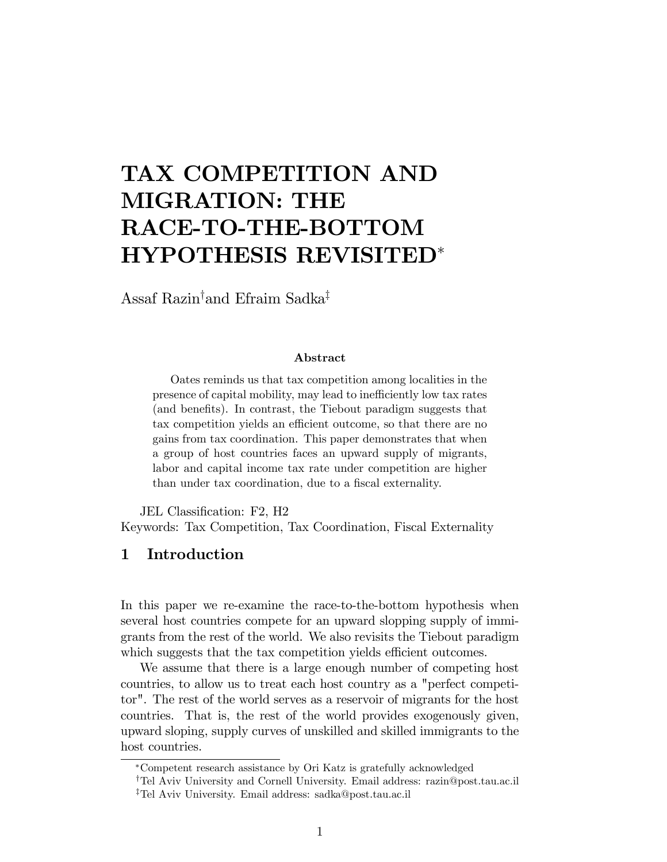# TAX COMPETITION AND MIGRATION: THE RACE-TO-THE-BOTTOM HYPOTHESIS REVISITED

Assaf Razin<sup>†</sup>and Efraim Sadka<sup>‡</sup>

#### Abstract

Oates reminds us that tax competition among localities in the presence of capital mobility, may lead to inefficiently low tax rates (and benefits). In contrast, the Tiebout paradigm suggests that tax competition yields an efficient outcome, so that there are no gains from tax coordination. This paper demonstrates that when a group of host countries faces an upward supply of migrants, labor and capital income tax rate under competition are higher than under tax coordination, due to a fiscal externality.

JEL Classification: F2, H2

Keywords: Tax Competition, Tax Coordination, Fiscal Externality

#### 1 Introduction

In this paper we re-examine the race-to-the-bottom hypothesis when several host countries compete for an upward slopping supply of immigrants from the rest of the world. We also revisits the Tiebout paradigm which suggests that the tax competition yields efficient outcomes.

We assume that there is a large enough number of competing host countries, to allow us to treat each host country as a "perfect competitor". The rest of the world serves as a reservoir of migrants for the host countries. That is, the rest of the world provides exogenously given, upward sloping, supply curves of unskilled and skilled immigrants to the host countries.

Competent research assistance by Ori Katz is gratefully acknowledged

<sup>&</sup>lt;sup>†</sup>Tel Aviv University and Cornell University. Email address: razin@post.tau.ac.il <sup>‡</sup>Tel Aviv University. Email address: sadka@post.tau.ac.il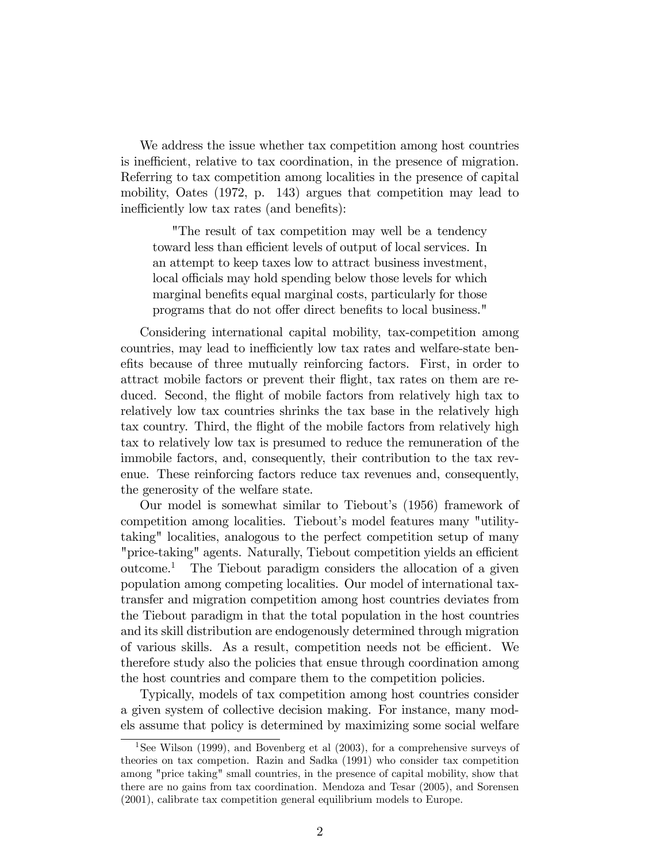We address the issue whether tax competition among host countries is inefficient, relative to tax coordination, in the presence of migration. Referring to tax competition among localities in the presence of capital mobility, Oates (1972, p. 143) argues that competition may lead to inefficiently low tax rates (and benefits):

"The result of tax competition may well be a tendency toward less than efficient levels of output of local services. In an attempt to keep taxes low to attract business investment, local officials may hold spending below those levels for which marginal benefits equal marginal costs, particularly for those programs that do not offer direct benefits to local business."

Considering international capital mobility, tax-competition among countries, may lead to inefficiently low tax rates and welfare-state benefits because of three mutually reinforcing factors. First, in order to attract mobile factors or prevent their flight, tax rates on them are reduced. Second, the flight of mobile factors from relatively high tax to relatively low tax countries shrinks the tax base in the relatively high tax country. Third, the flight of the mobile factors from relatively high tax to relatively low tax is presumed to reduce the remuneration of the immobile factors, and, consequently, their contribution to the tax revenue. These reinforcing factors reduce tax revenues and, consequently, the generosity of the welfare state.

Our model is somewhat similar to Tiebout's (1956) framework of competition among localities. Tiebout's model features many "utilitytaking" localities, analogous to the perfect competition setup of many "price-taking" agents. Naturally, Tiebout competition yields an efficient outcome.<sup>1</sup> The Tiebout paradigm considers the allocation of a given population among competing localities. Our model of international taxtransfer and migration competition among host countries deviates from the Tiebout paradigm in that the total population in the host countries and its skill distribution are endogenously determined through migration of various skills. As a result, competition needs not be efficient. We therefore study also the policies that ensue through coordination among the host countries and compare them to the competition policies.

Typically, models of tax competition among host countries consider a given system of collective decision making. For instance, many models assume that policy is determined by maximizing some social welfare

<sup>&</sup>lt;sup>1</sup>See Wilson (1999), and Bovenberg et al  $(2003)$ , for a comprehensive surveys of theories on tax competion. Razin and Sadka (1991) who consider tax competition among "price taking" small countries, in the presence of capital mobility, show that there are no gains from tax coordination. Mendoza and Tesar (2005), and Sorensen (2001), calibrate tax competition general equilibrium models to Europe.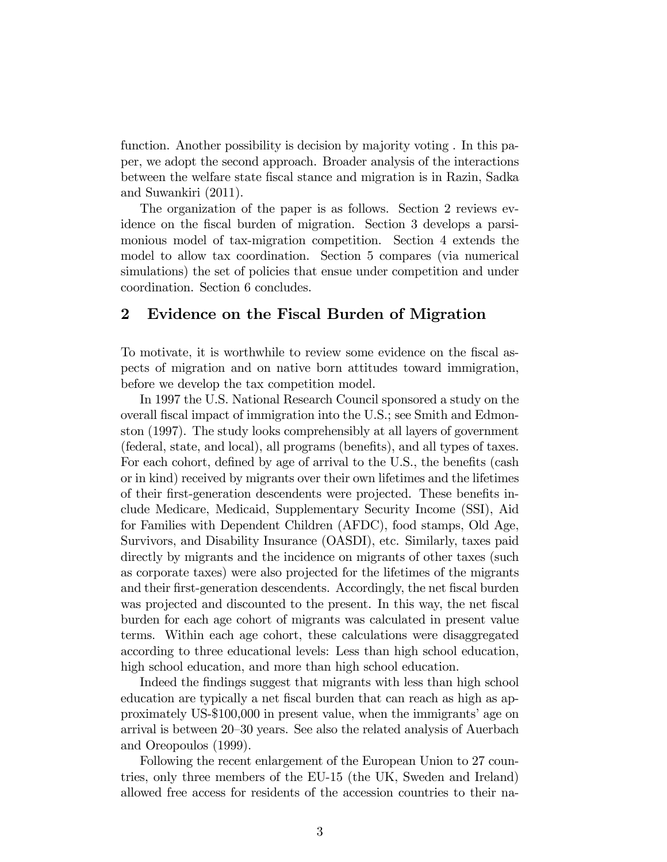function. Another possibility is decision by majority voting . In this paper, we adopt the second approach. Broader analysis of the interactions between the welfare state Öscal stance and migration is in Razin, Sadka and Suwankiri (2011).

The organization of the paper is as follows. Section 2 reviews evidence on the fiscal burden of migration. Section 3 develops a parsimonious model of tax-migration competition. Section 4 extends the model to allow tax coordination. Section 5 compares (via numerical simulations) the set of policies that ensue under competition and under coordination. Section 6 concludes.

### 2 Evidence on the Fiscal Burden of Migration

To motivate, it is worthwhile to review some evidence on the fiscal aspects of migration and on native born attitudes toward immigration, before we develop the tax competition model.

In 1997 the U.S. National Research Council sponsored a study on the overall fiscal impact of immigration into the U.S.; see Smith and Edmonston (1997). The study looks comprehensibly at all layers of government (federal, state, and local), all programs (benefits), and all types of taxes. For each cohort, defined by age of arrival to the U.S., the benefits (cash or in kind) received by migrants over their own lifetimes and the lifetimes of their first-generation descendents were projected. These benefits include Medicare, Medicaid, Supplementary Security Income (SSI), Aid for Families with Dependent Children (AFDC), food stamps, Old Age, Survivors, and Disability Insurance (OASDI), etc. Similarly, taxes paid directly by migrants and the incidence on migrants of other taxes (such as corporate taxes) were also projected for the lifetimes of the migrants and their first-generation descendents. Accordingly, the net fiscal burden was projected and discounted to the present. In this way, the net fiscal burden for each age cohort of migrants was calculated in present value terms. Within each age cohort, these calculations were disaggregated according to three educational levels: Less than high school education, high school education, and more than high school education.

Indeed the findings suggest that migrants with less than high school education are typically a net Öscal burden that can reach as high as approximately US-\$100,000 in present value, when the immigrants' age on arrival is between  $20-30$  years. See also the related analysis of Auerbach and Oreopoulos (1999).

Following the recent enlargement of the European Union to 27 countries, only three members of the EU-15 (the UK, Sweden and Ireland) allowed free access for residents of the accession countries to their na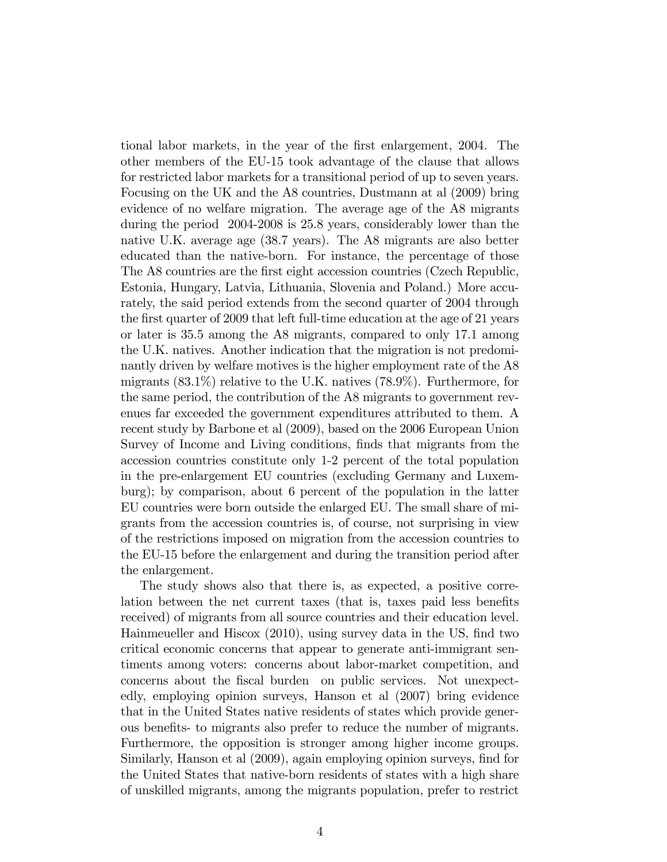tional labor markets, in the year of the Örst enlargement, 2004. The other members of the EU-15 took advantage of the clause that allows for restricted labor markets for a transitional period of up to seven years. Focusing on the UK and the A8 countries, Dustmann at al (2009) bring evidence of no welfare migration. The average age of the A8 migrants during the period 2004-2008 is 25.8 years, considerably lower than the native U.K. average age (38.7 years). The A8 migrants are also better educated than the native-born. For instance, the percentage of those The A8 countries are the Örst eight accession countries (Czech Republic, Estonia, Hungary, Latvia, Lithuania, Slovenia and Poland.) More accurately, the said period extends from the second quarter of 2004 through the first quarter of 2009 that left full-time education at the age of 21 years or later is 35.5 among the A8 migrants, compared to only 17.1 among the U.K. natives. Another indication that the migration is not predominantly driven by welfare motives is the higher employment rate of the A8 migrants (83.1%) relative to the U.K. natives (78.9%). Furthermore, for the same period, the contribution of the A8 migrants to government revenues far exceeded the government expenditures attributed to them. A recent study by Barbone et al (2009), based on the 2006 European Union Survey of Income and Living conditions, finds that migrants from the accession countries constitute only 1-2 percent of the total population in the pre-enlargement EU countries (excluding Germany and Luxemburg); by comparison, about 6 percent of the population in the latter EU countries were born outside the enlarged EU. The small share of migrants from the accession countries is, of course, not surprising in view of the restrictions imposed on migration from the accession countries to the EU-15 before the enlargement and during the transition period after the enlargement.

The study shows also that there is, as expected, a positive correlation between the net current taxes (that is, taxes paid less benefits received) of migrants from all source countries and their education level. Hainmeueller and Hiscox (2010), using survey data in the US, find two critical economic concerns that appear to generate anti-immigrant sentiments among voters: concerns about labor-market competition, and concerns about the Öscal burden on public services. Not unexpectedly, employing opinion surveys, Hanson et al (2007) bring evidence that in the United States native residents of states which provide generous benefits- to migrants also prefer to reduce the number of migrants. Furthermore, the opposition is stronger among higher income groups. Similarly, Hanson et al  $(2009)$ , again employing opinion surveys, find for the United States that native-born residents of states with a high share of unskilled migrants, among the migrants population, prefer to restrict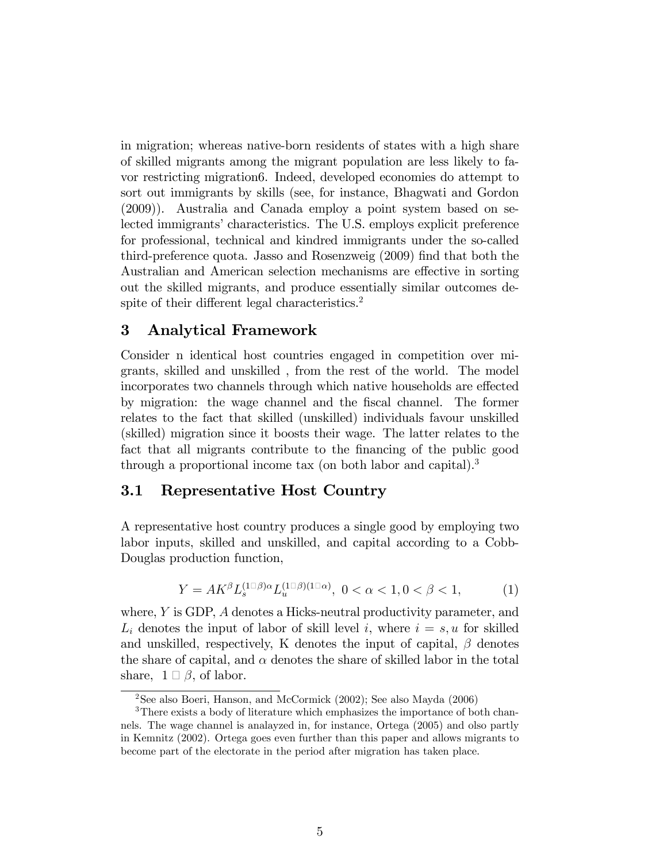in migration; whereas native-born residents of states with a high share of skilled migrants among the migrant population are less likely to favor restricting migration6. Indeed, developed economies do attempt to sort out immigrants by skills (see, for instance, Bhagwati and Gordon (2009)). Australia and Canada employ a point system based on selected immigrants' characteristics. The U.S. employs explicit preference for professional, technical and kindred immigrants under the so-called third-preference quota. Jasso and Rosenzweig (2009) find that both the Australian and American selection mechanisms are effective in sorting out the skilled migrants, and produce essentially similar outcomes despite of their different legal characteristics.<sup>2</sup>

### 3 Analytical Framework

Consider n identical host countries engaged in competition over migrants, skilled and unskilled , from the rest of the world. The model incorporates two channels through which native households are effected by migration: the wage channel and the Öscal channel. The former relates to the fact that skilled (unskilled) individuals favour unskilled (skilled) migration since it boosts their wage. The latter relates to the fact that all migrants contribute to the financing of the public good through a proportional income tax (on both labor and capital).<sup>3</sup>

## 3.1 Representative Host Country

A representative host country produces a single good by employing two labor inputs, skilled and unskilled, and capital according to a Cobb-Douglas production function,

$$
Y = AK^{\beta}L_s^{(1\Box\beta)\alpha}L_u^{(1\Box\beta)(1\Box\alpha)}, \ 0 < \alpha < 1, 0 < \beta < 1,
$$
 (1)

where,  $Y$  is GDP,  $A$  denotes a Hicks-neutral productivity parameter, and  $L_i$  denotes the input of labor of skill level i, where  $i = s, u$  for skilled and unskilled, respectively, K denotes the input of capital,  $\beta$  denotes the share of capital, and  $\alpha$  denotes the share of skilled labor in the total share,  $1 \square \beta$ , of labor.

<sup>&</sup>lt;sup>2</sup>See also Boeri, Hanson, and McCormick (2002); See also Mayda (2006)

<sup>&</sup>lt;sup>3</sup>There exists a body of literature which emphasizes the importance of both channels. The wage channel is analayzed in, for instance, Ortega (2005) and olso partly in Kemnitz (2002). Ortega goes even further than this paper and allows migrants to become part of the electorate in the period after migration has taken place.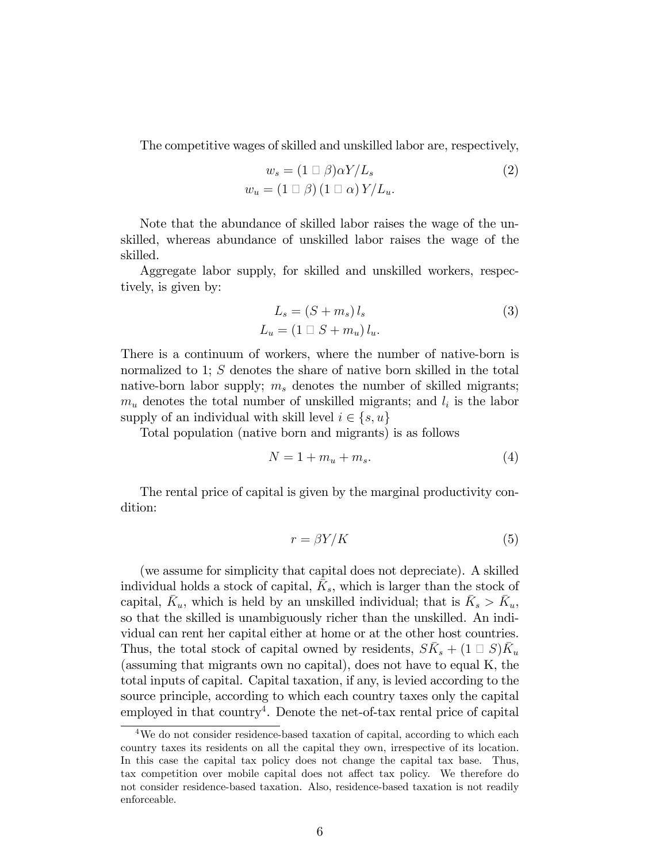The competitive wages of skilled and unskilled labor are, respectively,

$$
w_s = (1 \sqcup \beta)\alpha Y / L_s
$$
  
\n
$$
w_u = (1 \sqcup \beta) (1 \sqcup \alpha) Y / L_u.
$$
\n(2)

Note that the abundance of skilled labor raises the wage of the unskilled, whereas abundance of unskilled labor raises the wage of the skilled.

Aggregate labor supply, for skilled and unskilled workers, respectively, is given by:

$$
L_s = (S + m_s) l_s
$$
  
\n
$$
L_u = (1 \square S + m_u) l_u.
$$
\n(3)

There is a continuum of workers, where the number of native-born is normalized to 1;  $S$  denotes the share of native born skilled in the total native-born labor supply;  $m_s$  denotes the number of skilled migrants;  $m_u$  denotes the total number of unskilled migrants; and  $l_i$  is the labor supply of an individual with skill level  $i \in \{s, u\}$ 

Total population (native born and migrants) is as follows

$$
N = 1 + m_u + m_s. \tag{4}
$$

The rental price of capital is given by the marginal productivity condition:

$$
r = \beta Y/K \tag{5}
$$

(we assume for simplicity that capital does not depreciate). A skilled individual holds a stock of capital,  $\bar{K}_s$ , which is larger than the stock of capital,  $\bar{K}_u$ , which is held by an unskilled individual; that is  $\bar{K}_s > \bar{K}_u$ , so that the skilled is unambiguously richer than the unskilled. An individual can rent her capital either at home or at the other host countries. Thus, the total stock of capital owned by residents,  $S\bar{K}_s + (1 \square S)\bar{K}_u$ (assuming that migrants own no capital), does not have to equal K, the total inputs of capital. Capital taxation, if any, is levied according to the source principle, according to which each country taxes only the capital employed in that country<sup>4</sup>. Denote the net-of-tax rental price of capital

<sup>&</sup>lt;sup>4</sup>We do not consider residence-based taxation of capital, according to which each country taxes its residents on all the capital they own, irrespective of its location. In this case the capital tax policy does not change the capital tax base. Thus, tax competition over mobile capital does not affect tax policy. We therefore do not consider residence-based taxation. Also, residence-based taxation is not readily enforceable.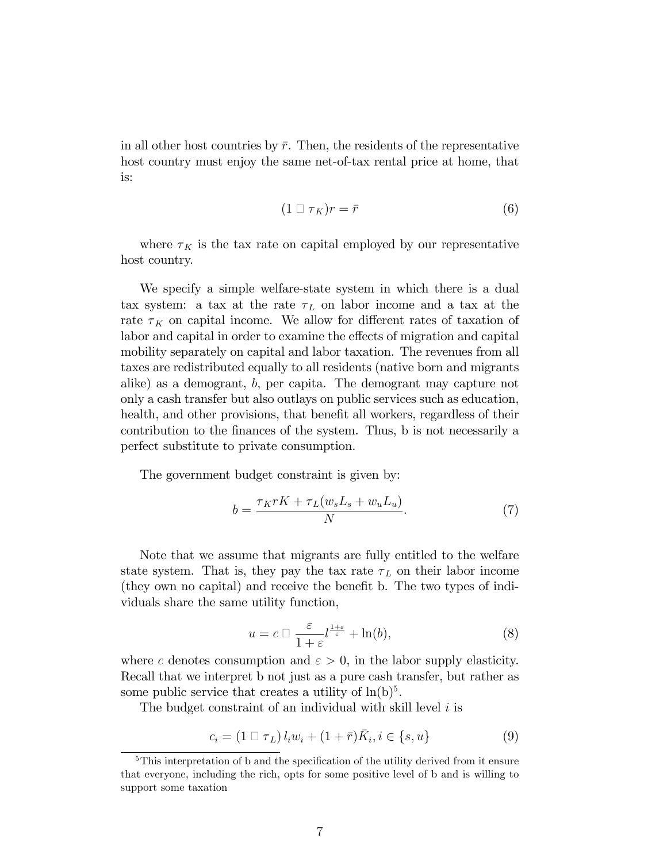in all other host countries by  $\bar{r}$ . Then, the residents of the representative host country must enjoy the same net-of-tax rental price at home, that is:

$$
(1 \sqcup \tau_K)r = \bar{r} \tag{6}
$$

where  $\tau_K$  is the tax rate on capital employed by our representative host country.

We specify a simple welfare-state system in which there is a dual tax system: a tax at the rate  $\tau_L$  on labor income and a tax at the rate  $\tau_K$  on capital income. We allow for different rates of taxation of labor and capital in order to examine the effects of migration and capital mobility separately on capital and labor taxation. The revenues from all taxes are redistributed equally to all residents (native born and migrants alike) as a demogrant,  $b$ , per capita. The demogrant may capture not only a cash transfer but also outlays on public services such as education, health, and other provisions, that benefit all workers, regardless of their contribution to the finances of the system. Thus, b is not necessarily a perfect substitute to private consumption.

The government budget constraint is given by:

$$
b = \frac{\tau_K rK + \tau_L (w_s L_s + w_u L_u)}{N}.
$$
 (7)

Note that we assume that migrants are fully entitled to the welfare state system. That is, they pay the tax rate  $\tau_L$  on their labor income (they own no capital) and receive the benefit b. The two types of individuals share the same utility function,

$$
u = c \Box \frac{\varepsilon}{1 + \varepsilon} l^{\frac{1 + \varepsilon}{\varepsilon}} + \ln(b), \tag{8}
$$

where c denotes consumption and  $\varepsilon > 0$ , in the labor supply elasticity. Recall that we interpret b not just as a pure cash transfer, but rather as some public service that creates a utility of  $ln(b)^5$ .

The budget constraint of an individual with skill level  $i$  is

$$
c_i = (1 \sqcup \tau_L) l_i w_i + (1 + \bar{r}) \bar{K}_i, i \in \{s, u\}
$$
 (9)

 $5$ This interpretation of b and the specification of the utility derived from it ensure that everyone, including the rich, opts for some positive level of b and is willing to support some taxation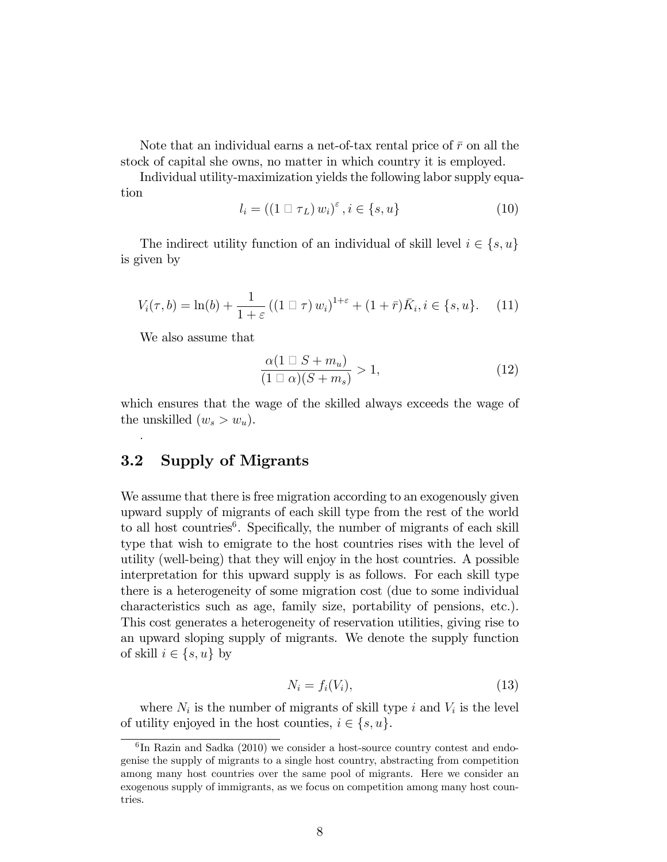Note that an individual earns a net-of-tax rental price of  $\bar{r}$  on all the stock of capital she owns, no matter in which country it is employed.

Individual utility-maximization yields the following labor supply equation

$$
l_i = ((1 \square \tau_L) w_i)^{\varepsilon}, i \in \{s, u\}
$$
\n
$$
(10)
$$

The indirect utility function of an individual of skill level  $i \in \{s, u\}$ is given by

$$
V_i(\tau, b) = \ln(b) + \frac{1}{1+\varepsilon} ((1 \square \tau) w_i)^{1+\varepsilon} + (1+\bar{r}) \bar{K}_i, i \in \{s, u\}. \tag{11}
$$

We also assume that

 $\ddot{\phantom{0}}$ 

$$
\frac{\alpha(1 \square S + m_u)}{(1 \square \alpha)(S + m_s)} > 1,\tag{12}
$$

which ensures that the wage of the skilled always exceeds the wage of the unskilled  $(w_s > w_u)$ .

## 3.2 Supply of Migrants

We assume that there is free migration according to an exogenously given upward supply of migrants of each skill type from the rest of the world to all host countries<sup>6</sup>. Specifically, the number of migrants of each skill type that wish to emigrate to the host countries rises with the level of utility (well-being) that they will enjoy in the host countries. A possible interpretation for this upward supply is as follows. For each skill type there is a heterogeneity of some migration cost (due to some individual characteristics such as age, family size, portability of pensions, etc.). This cost generates a heterogeneity of reservation utilities, giving rise to an upward sloping supply of migrants. We denote the supply function of skill  $i \in \{s, u\}$  by

$$
N_i = f_i(V_i),\tag{13}
$$

where  $N_i$  is the number of migrants of skill type i and  $V_i$  is the level of utility enjoyed in the host counties,  $i \in \{s, u\}.$ 

<sup>&</sup>lt;sup>6</sup>In Razin and Sadka (2010) we consider a host-source country contest and endogenise the supply of migrants to a single host country, abstracting from competition among many host countries over the same pool of migrants. Here we consider an exogenous supply of immigrants, as we focus on competition among many host countries.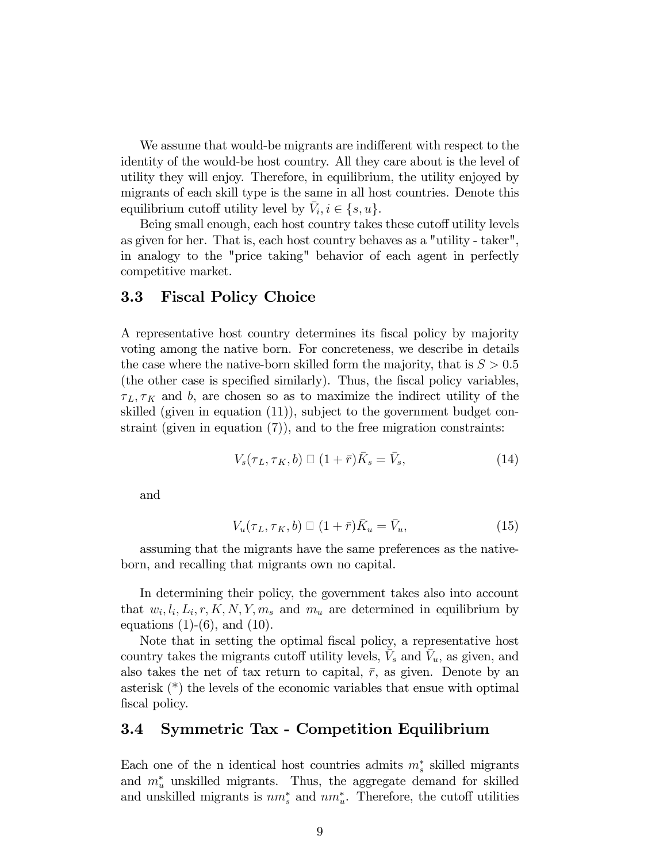We assume that would-be migrants are indifferent with respect to the identity of the would-be host country. All they care about is the level of utility they will enjoy. Therefore, in equilibrium, the utility enjoyed by migrants of each skill type is the same in all host countries. Denote this equilibrium cutoff utility level by  $\bar{V}_i, i \in \{s, u\}.$ 

Being small enough, each host country takes these cutoff utility levels as given for her. That is, each host country behaves as a "utility - taker", in analogy to the "price taking" behavior of each agent in perfectly competitive market.

#### 3.3 Fiscal Policy Choice

A representative host country determines its fiscal policy by majority voting among the native born. For concreteness, we describe in details the case where the native-born skilled form the majority, that is  $S > 0.5$ (the other case is specified similarly). Thus, the fiscal policy variables,  $\tau_L, \tau_K$  and b, are chosen so as to maximize the indirect utility of the skilled (given in equation (11)), subject to the government budget constraint (given in equation (7)), and to the free migration constraints:

$$
V_s(\tau_L, \tau_K, b) \sqcup (1 + \bar{r})\bar{K}_s = \bar{V}_s,
$$
\n(14)

and

$$
V_u(\tau_L, \tau_K, b) \sqcup (1 + \bar{r})\bar{K}_u = \bar{V}_u,
$$
\n(15)

assuming that the migrants have the same preferences as the nativeborn, and recalling that migrants own no capital.

In determining their policy, the government takes also into account that  $w_i, l_i, L_i, r, K, N, Y, m_s$  and  $m_u$  are determined in equilibrium by equations  $(1)-(6)$ , and  $(10)$ .

Note that in setting the optimal fiscal policy, a representative host country takes the migrants cutoff utility levels,  $\overline{V}_s$  and  $\overline{V}_u$ , as given, and also takes the net of tax return to capital,  $\bar{r}$ , as given. Denote by an asterisk (\*) the levels of the economic variables that ensue with optimal fiscal policy.

## 3.4 Symmetric Tax - Competition Equilibrium

Each one of the n identical host countries admits  $m_s^*$  skilled migrants and  $m_u^*$  unskilled migrants. Thus, the aggregate demand for skilled and unskilled migrants is  $nm_s^*$  and  $nm_u^*$ . Therefore, the cutoff utilities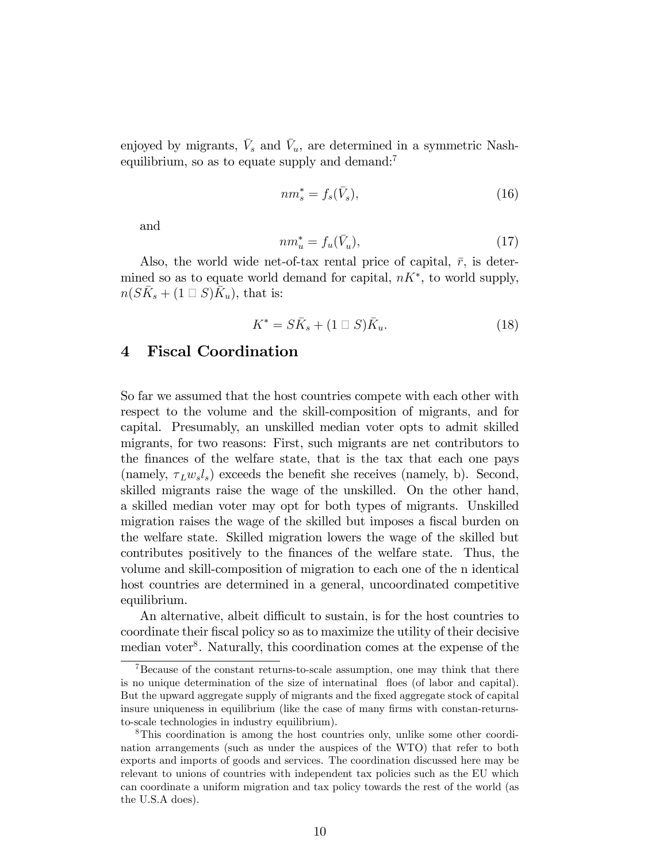enjoyed by migrants,  $\bar{V}_s$  and  $\bar{V}_u$ , are determined in a symmetric Nashequilibrium, so as to equate supply and demand: $^7$ 

$$
nm_s^* = f_s(\bar{V}_s),\tag{16}
$$

and

$$
nm_u^* = f_u(\bar{V}_u),\tag{17}
$$

Also, the world wide net-of-tax rental price of capital,  $\bar{r}$ , is determined so as to equate world demand for capital,  $nK^*$ , to world supply,  $n(S\bar{K}_s + (1 \square S)\bar{K}_u)$ , that is:

$$
K^* = S\bar{K}_s + (1 \square S)\bar{K}_u.
$$
\n(18)

### 4 Fiscal Coordination

So far we assumed that the host countries compete with each other with respect to the volume and the skill-composition of migrants, and for capital. Presumably, an unskilled median voter opts to admit skilled migrants, for two reasons: First, such migrants are net contributors to the finances of the welfare state, that is the tax that each one pays (namely,  $\tau_L w_s l_s$ ) exceeds the benefit she receives (namely, b). Second, skilled migrants raise the wage of the unskilled. On the other hand, a skilled median voter may opt for both types of migrants. Unskilled migration raises the wage of the skilled but imposes a fiscal burden on the welfare state. Skilled migration lowers the wage of the skilled but contributes positively to the Önances of the welfare state. Thus, the volume and skill-composition of migration to each one of the n identical host countries are determined in a general, uncoordinated competitive equilibrium.

An alternative, albeit difficult to sustain, is for the host countries to coordinate their Öscal policy so as to maximize the utility of their decisive median voter<sup>8</sup>. Naturally, this coordination comes at the expense of the

<sup>7</sup>Because of the constant returns-to-scale assumption, one may think that there is no unique determination of the size of internatinal floes (of labor and capital). But the upward aggregate supply of migrants and the Öxed aggregate stock of capital insure uniqueness in equilibrium (like the case of many firms with constan-returnsto-scale technologies in industry equilibrium).

<sup>8</sup>This coordination is among the host countries only, unlike some other coordination arrangements (such as under the auspices of the WTO) that refer to both exports and imports of goods and services. The coordination discussed here may be relevant to unions of countries with independent tax policies such as the EU which can coordinate a uniform migration and tax policy towards the rest of the world (as the U.S.A does).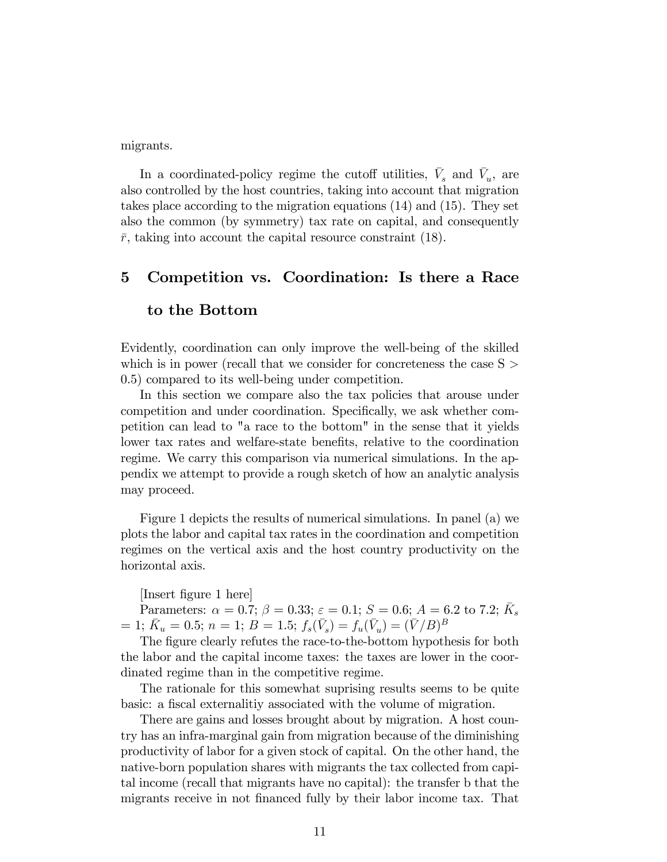migrants.

In a coordinated-policy regime the cutoff utilities,  $\bar{V}_s$  and  $\bar{V}_u$ , are also controlled by the host countries, taking into account that migration takes place according to the migration equations (14) and (15). They set also the common (by symmetry) tax rate on capital, and consequently  $\bar{r}$ , taking into account the capital resource constraint (18).

## 5 Competition vs. Coordination: Is there a Race

#### to the Bottom

Evidently, coordination can only improve the well-being of the skilled which is in power (recall that we consider for concreteness the case  $S >$ 0.5) compared to its well-being under competition.

In this section we compare also the tax policies that arouse under competition and under coordination. Specifically, we ask whether competition can lead to "a race to the bottom" in the sense that it yields lower tax rates and welfare-state benefits, relative to the coordination regime. We carry this comparison via numerical simulations. In the appendix we attempt to provide a rough sketch of how an analytic analysis may proceed.

Figure 1 depicts the results of numerical simulations. In panel (a) we plots the labor and capital tax rates in the coordination and competition regimes on the vertical axis and the host country productivity on the horizontal axis.

[Insert Ögure 1 here]

Parameters:  $\alpha = 0.7; \beta = 0.33; \epsilon = 0.1; S = 0.6; A = 6.2$  to 7.2;  $\bar{K}_s$  $= 1; \bar{K}_u = 0.5; n = 1; B = 1.5; f_s(\bar{V}_s) = f_u(\bar{V}_u) = (\bar{V}/B)^B$ 

The figure clearly refutes the race-to-the-bottom hypothesis for both the labor and the capital income taxes: the taxes are lower in the coordinated regime than in the competitive regime.

The rationale for this somewhat suprising results seems to be quite basic: a fiscal externalitiy associated with the volume of migration.

There are gains and losses brought about by migration. A host country has an infra-marginal gain from migration because of the diminishing productivity of labor for a given stock of capital. On the other hand, the native-born population shares with migrants the tax collected from capital income (recall that migrants have no capital): the transfer b that the migrants receive in not financed fully by their labor income tax. That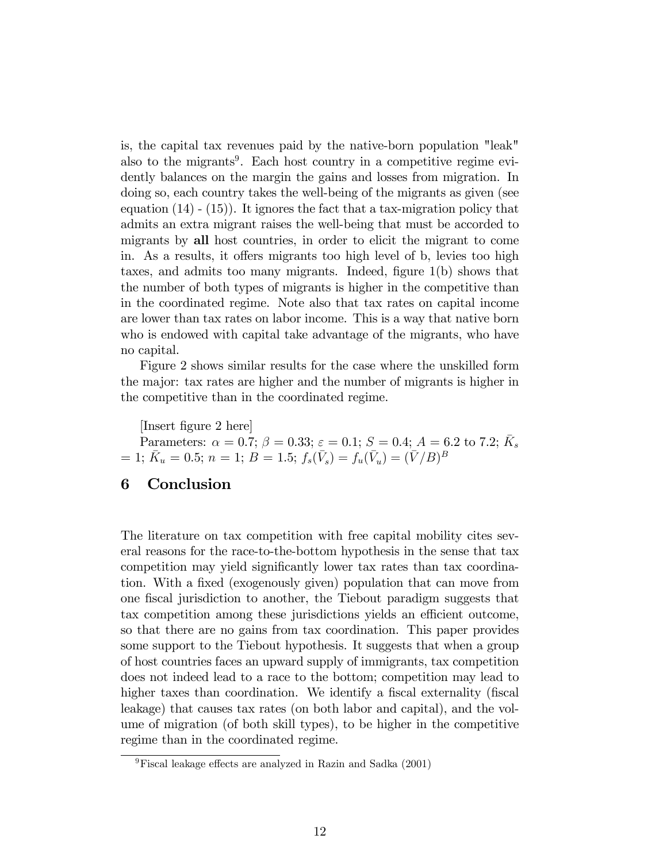is, the capital tax revenues paid by the native-born population "leak" also to the migrants<sup>9</sup>. Each host country in a competitive regime evidently balances on the margin the gains and losses from migration. In doing so, each country takes the well-being of the migrants as given (see equation  $(14) - (15)$ . It ignores the fact that a tax-migration policy that admits an extra migrant raises the well-being that must be accorded to migrants by all host countries, in order to elicit the migrant to come in. As a results, it offers migrants too high level of b, levies too high taxes, and admits too many migrants. Indeed, figure  $1(b)$  shows that the number of both types of migrants is higher in the competitive than in the coordinated regime. Note also that tax rates on capital income are lower than tax rates on labor income. This is a way that native born who is endowed with capital take advantage of the migrants, who have no capital.

Figure 2 shows similar results for the case where the unskilled form the major: tax rates are higher and the number of migrants is higher in the competitive than in the coordinated regime.

[Insert Ögure 2 here]

Parameters:  $\alpha = 0.7; \beta = 0.33; \varepsilon = 0.1; S = 0.4; A = 6.2$  to 7.2;  $\bar{K}_s$ <br>= 1;  $\bar{K}_u = 0.5; n = 1; B = 1.5; f_s(\bar{V}_s) = f_u(\bar{V}_u) = (\bar{V}/B)^B$ 

## 6 Conclusion

The literature on tax competition with free capital mobility cites several reasons for the race-to-the-bottom hypothesis in the sense that tax competition may yield significantly lower tax rates than tax coordination. With a fixed (exogenously given) population that can move from one fiscal jurisdiction to another, the Tiebout paradigm suggests that tax competition among these jurisdictions yields an efficient outcome, so that there are no gains from tax coordination. This paper provides some support to the Tiebout hypothesis. It suggests that when a group of host countries faces an upward supply of immigrants, tax competition does not indeed lead to a race to the bottom; competition may lead to higher taxes than coordination. We identify a fiscal externality (fiscal leakage) that causes tax rates (on both labor and capital), and the volume of migration (of both skill types), to be higher in the competitive regime than in the coordinated regime.

 $9$ Fiscal leakage effects are analyzed in Razin and Sadka (2001)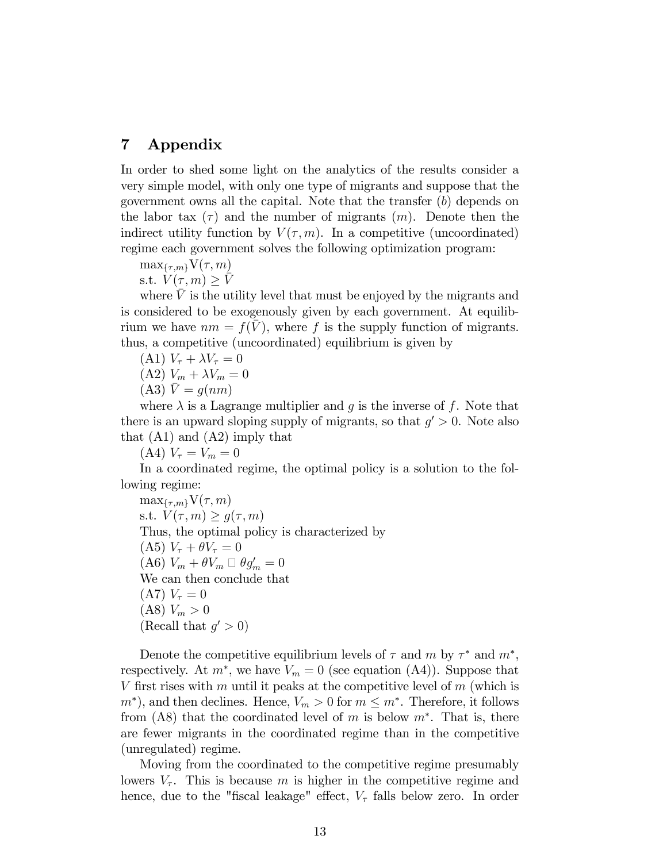## 7 Appendix

In order to shed some light on the analytics of the results consider a very simple model, with only one type of migrants and suppose that the government owns all the capital. Note that the transfer  $(b)$  depends on the labor tax  $(\tau)$  and the number of migrants  $(m)$ . Denote then the indirect utility function by  $V(\tau,m)$ . In a competitive (uncoordinated) regime each government solves the following optimization program:

$$
\max_{\{\tau,m\}} V(\tau,m)
$$

$$
\text{s.t. } \hat{V}(\tau, m) \ge \hat{V}
$$

where  $V$  is the utility level that must be enjoyed by the migrants and is considered to be exogenously given by each government. At equilibrium we have  $nm = f(\bar{V})$ , where f is the supply function of migrants. thus, a competitive (uncoordinated) equilibrium is given by

$$
(A1) V_{\tau} + \lambda V_{\tau} = 0
$$

$$
(A2) V_m + \lambda V_m = 0
$$

$$
(\text{A3})\ \bar{V} = g(nm)
$$

where  $\lambda$  is a Lagrange multiplier and g is the inverse of f. Note that there is an upward sloping supply of migrants, so that  $g' > 0$ . Note also that  $(A1)$  and  $(A2)$  imply that

 $(A4) V_{\tau} = V_m = 0$ 

In a coordinated regime, the optimal policy is a solution to the following regime:

 $\max_{\{\tau,m\}} V(\tau,m)$ s.t.  $V(\tau, m) \geq g(\tau, m)$ Thus, the optimal policy is characterized by  $(A5) V_\tau + \theta V_\tau = 0$  $(A6) V_m + \theta V_m \sqcup \theta g'_m = 0$ We can then conclude that  $(A7) V_{\tau} = 0$  $(A8) V_m > 0$ (Recall that  $g' > 0$ )

Denote the competitive equilibrium levels of  $\tau$  and  $m$  by  $\tau^*$  and  $m^*$ , respectively. At  $m^*$ , we have  $V_m = 0$  (see equation (A4)). Suppose that V first rises with  $m$  until it peaks at the competitive level of  $m$  (which is  $(m^*)$ , and then declines. Hence,  $V_m > 0$  for  $m \leq m^*$ . Therefore, it follows from (A8) that the coordinated level of  $m$  is below  $m^*$ . That is, there are fewer migrants in the coordinated regime than in the competitive (unregulated) regime.

Moving from the coordinated to the competitive regime presumably lowers  $V_{\tau}$ . This is because m is higher in the competitive regime and hence, due to the "fiscal leakage" effect,  $V_{\tau}$  falls below zero. In order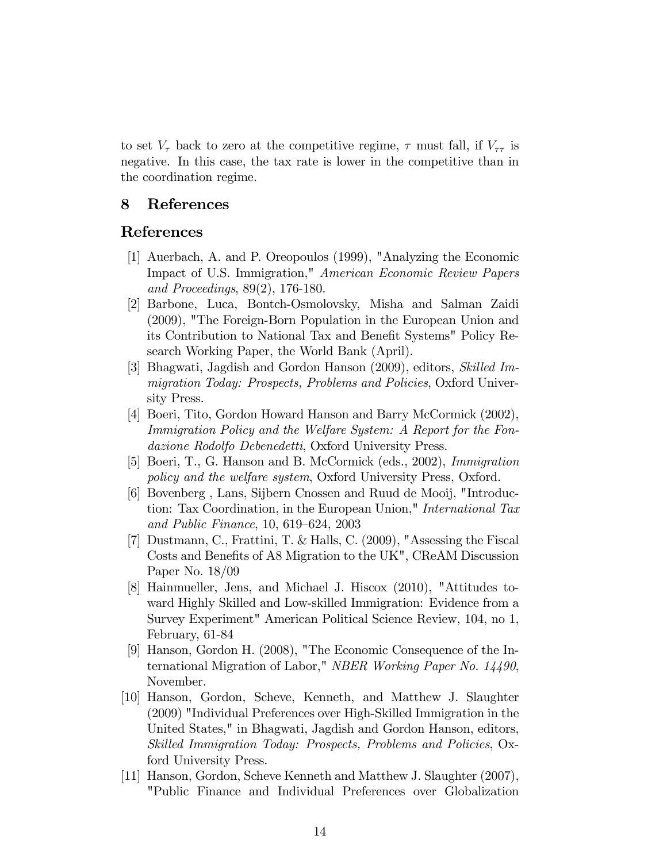to set  $V_{\tau}$  back to zero at the competitive regime,  $\tau$  must fall, if  $V_{\tau\tau}$  is negative. In this case, the tax rate is lower in the competitive than in the coordination regime.

#### 8 References

## References

- [1] Auerbach, A. and P. Oreopoulos (1999), "Analyzing the Economic Impact of U.S. Immigration," American Economic Review Papers and Proceedings, 89(2), 176-180.
- [2] Barbone, Luca, Bontch-Osmolovsky, Misha and Salman Zaidi (2009), "The Foreign-Born Population in the European Union and its Contribution to National Tax and Benefit Systems" Policy Research Working Paper, the World Bank (April).
- [3] Bhagwati, Jagdish and Gordon Hanson (2009), editors, Skilled Immigration Today: Prospects, Problems and Policies, Oxford University Press.
- [4] Boeri, Tito, Gordon Howard Hanson and Barry McCormick (2002), Immigration Policy and the Welfare System: A Report for the Fondazione Rodolfo Debenedetti, Oxford University Press.
- [5] Boeri, T., G. Hanson and B. McCormick (eds., 2002), Immigration policy and the welfare system, Oxford University Press, Oxford.
- [6] Bovenberg , Lans, Sijbern Cnossen and Ruud de Mooij, "Introduction: Tax Coordination, in the European Union," International Tax and Public Finance,  $10, 619-624, 2003$
- [7] Dustmann, C., Frattini, T. & Halls, C. (2009), "Assessing the Fiscal Costs and Benefits of A8 Migration to the UK", CReAM Discussion Paper No. 18/09
- [8] Hainmueller, Jens, and Michael J. Hiscox (2010), "Attitudes toward Highly Skilled and Low-skilled Immigration: Evidence from a Survey Experiment" American Political Science Review, 104, no 1, February, 61-84
- [9] Hanson, Gordon H. (2008), "The Economic Consequence of the International Migration of Labor," NBER Working Paper No. 14490, November.
- [10] Hanson, Gordon, Scheve, Kenneth, and Matthew J. Slaughter (2009) "Individual Preferences over High-Skilled Immigration in the United States," in Bhagwati, Jagdish and Gordon Hanson, editors, Skilled Immigration Today: Prospects, Problems and Policies, Oxford University Press.
- [11] Hanson, Gordon, Scheve Kenneth and Matthew J. Slaughter (2007), "Public Finance and Individual Preferences over Globalization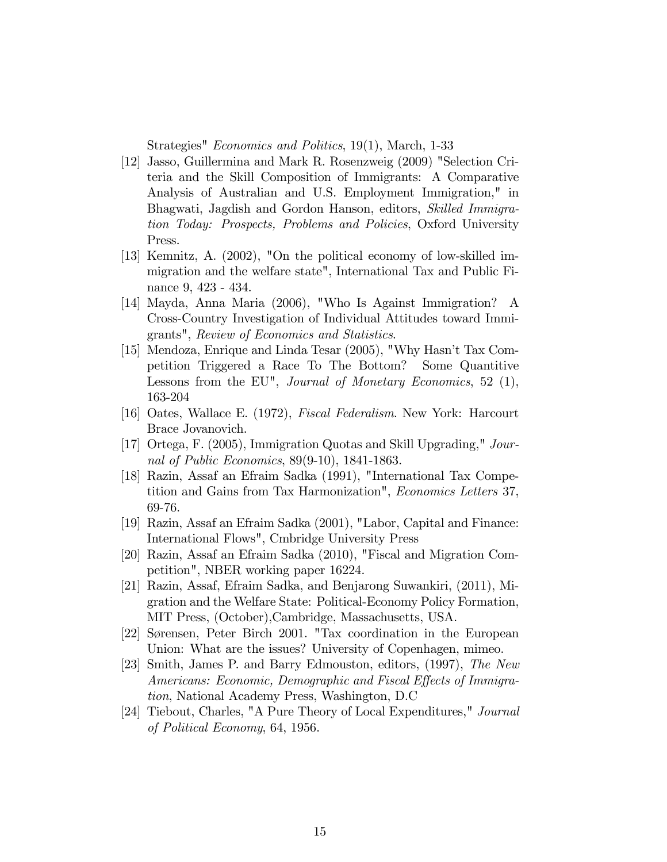Strategies" Economics and Politics, 19(1), March, 1-33

- [12] Jasso, Guillermina and Mark R. Rosenzweig (2009) "Selection Criteria and the Skill Composition of Immigrants: A Comparative Analysis of Australian and U.S. Employment Immigration," in Bhagwati, Jagdish and Gordon Hanson, editors, Skilled Immigration Today: Prospects, Problems and Policies, Oxford University Press.
- [13] Kemnitz, A. (2002), "On the political economy of low-skilled immigration and the welfare state", International Tax and Public Finance 9, 423 - 434.
- [14] Mayda, Anna Maria (2006), "Who Is Against Immigration? A Cross-Country Investigation of Individual Attitudes toward Immigrants", Review of Economics and Statistics.
- [15] Mendoza, Enrique and Linda Tesar (2005), "Why Hasn't Tax Competition Triggered a Race To The Bottom? Some Quantitive Lessons from the EU", *Journal of Monetary Economics*, 52 (1), 163-204
- [16] Oates, Wallace E. (1972), Fiscal Federalism. New York: Harcourt Brace Jovanovich.
- [17] Ortega, F. (2005), Immigration Quotas and Skill Upgrading," Journal of Public Economics, 89(9-10), 1841-1863.
- [18] Razin, Assaf an Efraim Sadka (1991), "International Tax Competition and Gains from Tax Harmonization", Economics Letters 37, 69-76.
- [19] Razin, Assaf an Efraim Sadka (2001), "Labor, Capital and Finance: International Flows", Cmbridge University Press
- [20] Razin, Assaf an Efraim Sadka (2010), "Fiscal and Migration Competition", NBER working paper 16224.
- [21] Razin, Assaf, Efraim Sadka, and Benjarong Suwankiri, (2011), Migration and the Welfare State: Political-Economy Policy Formation, MIT Press, (October),Cambridge, Massachusetts, USA.
- [22] Sørensen, Peter Birch 2001. "Tax coordination in the European Union: What are the issues? University of Copenhagen, mimeo.
- [23] Smith, James P. and Barry Edmouston, editors, (1997), The New Americans: Economic, Demographic and Fiscal Effects of Immigration, National Academy Press, Washington, D.C
- [24] Tiebout, Charles, "A Pure Theory of Local Expenditures," Journal of Political Economy, 64, 1956.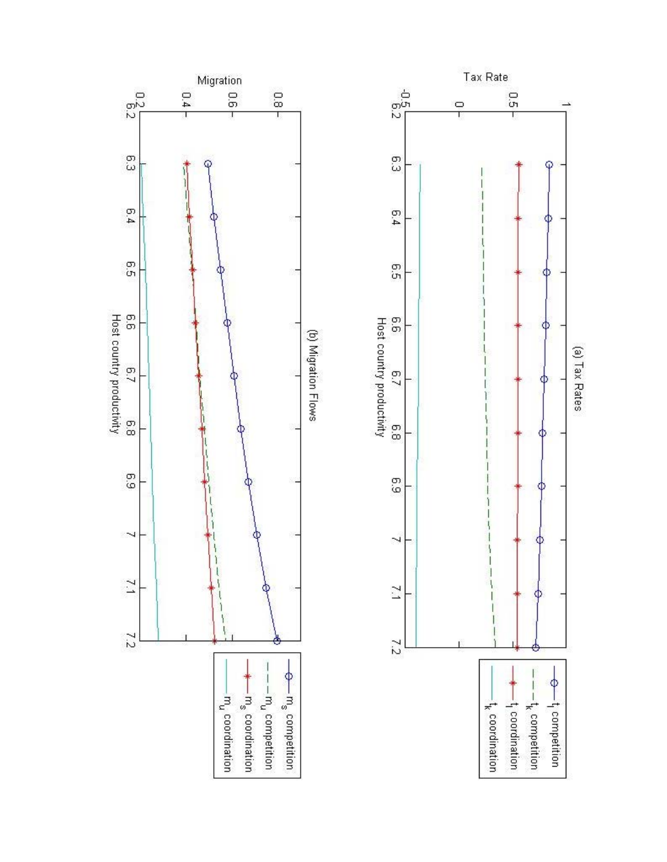